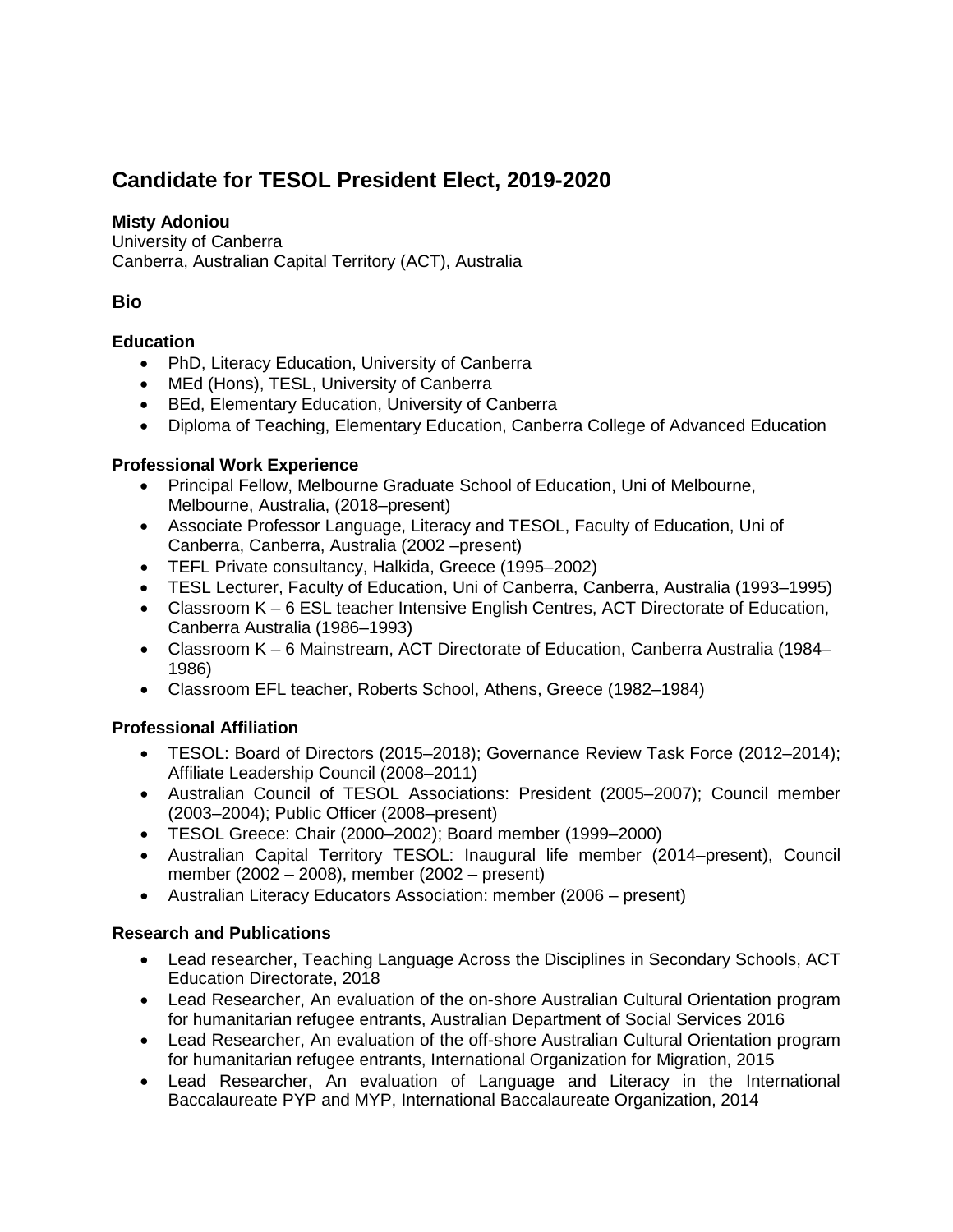# **Candidate for TESOL President Elect, 2019-2020**

## **Misty Adoniou**

University of Canberra Canberra, Australian Capital Territory (ACT), Australia

## **Bio**

### **Education**

- PhD, Literacy Education, University of Canberra
- MEd (Hons), TESL, University of Canberra
- BEd, Elementary Education, University of Canberra
- Diploma of Teaching, Elementary Education, Canberra College of Advanced Education

### **Professional Work Experience**

- Principal Fellow, Melbourne Graduate School of Education, Uni of Melbourne, Melbourne, Australia, (2018–present)
- Associate Professor Language, Literacy and TESOL, Faculty of Education, Uni of Canberra, Canberra, Australia (2002 –present)
- TEFL Private consultancy, Halkida, Greece (1995–2002)
- TESL Lecturer, Faculty of Education, Uni of Canberra, Canberra, Australia (1993–1995)
- Classroom K 6 ESL teacher Intensive English Centres, ACT Directorate of Education, Canberra Australia (1986–1993)
- Classroom K 6 Mainstream, ACT Directorate of Education, Canberra Australia (1984– 1986)
- Classroom EFL teacher, Roberts School, Athens, Greece (1982–1984)

### **Professional Affiliation**

- TESOL: Board of Directors (2015–2018); Governance Review Task Force (2012–2014); Affiliate Leadership Council (2008–2011)
- Australian Council of TESOL Associations: President (2005–2007); Council member (2003–2004); Public Officer (2008–present)
- TESOL Greece: Chair (2000–2002); Board member (1999–2000)
- Australian Capital Territory TESOL: Inaugural life member (2014–present), Council member (2002 – 2008), member (2002 – present)
- Australian Literacy Educators Association: member (2006 present)

### **Research and Publications**

- Lead researcher, Teaching Language Across the Disciplines in Secondary Schools, ACT Education Directorate, 2018
- Lead Researcher, An evaluation of the on-shore Australian Cultural Orientation program for humanitarian refugee entrants, Australian Department of Social Services 2016
- Lead Researcher, An evaluation of the off-shore Australian Cultural Orientation program for humanitarian refugee entrants, International Organization for Migration, 2015
- Lead Researcher, An evaluation of Language and Literacy in the International Baccalaureate PYP and MYP, International Baccalaureate Organization, 2014